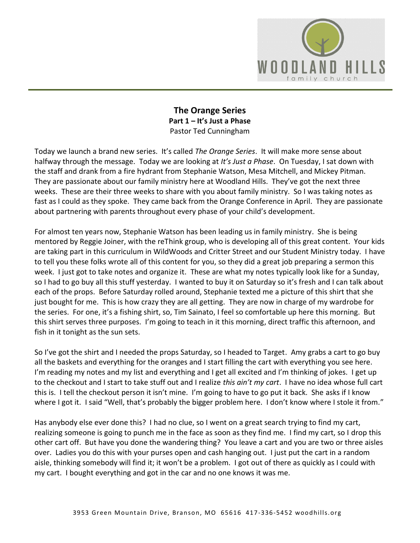

**The Orange Series Part 1 – It's Just a Phase** Pastor Ted Cunningham

Today we launch a brand new series. It's called *The Orange Series*. It will make more sense about halfway through the message. Today we are looking at *It's Just a Phase*. On Tuesday, I sat down with the staff and drank from a fire hydrant from Stephanie Watson, Mesa Mitchell, and Mickey Pitman. They are passionate about our family ministry here at Woodland Hills. They've got the next three weeks. These are their three weeks to share with you about family ministry. So I was taking notes as fast as I could as they spoke. They came back from the Orange Conference in April. They are passionate about partnering with parents throughout every phase of your child's development.

For almost ten years now, Stephanie Watson has been leading us in family ministry. She is being mentored by Reggie Joiner, with the reThink group, who is developing all of this great content. Your kids are taking part in this curriculum in WildWoods and Critter Street and our Student Ministry today. I have to tell you these folks wrote all of this content for you, so they did a great job preparing a sermon this week. I just got to take notes and organize it. These are what my notes typically look like for a Sunday, so I had to go buy all this stuff yesterday. I wanted to buy it on Saturday so it's fresh and I can talk about each of the props. Before Saturday rolled around, Stephanie texted me a picture of this shirt that she just bought for me. This is how crazy they are all getting. They are now in charge of my wardrobe for the series. For one, it's a fishing shirt, so, Tim Sainato, I feel so comfortable up here this morning. But this shirt serves three purposes. I'm going to teach in it this morning, direct traffic this afternoon, and fish in it tonight as the sun sets.

So I've got the shirt and I needed the props Saturday, so I headed to Target. Amy grabs a cart to go buy all the baskets and everything for the oranges and I start filling the cart with everything you see here. I'm reading my notes and my list and everything and I get all excited and I'm thinking of jokes. I get up to the checkout and I start to take stuff out and I realize *this ain't my cart*. I have no idea whose full cart this is. I tell the checkout person it isn't mine. I'm going to have to go put it back. She asks if I know where I got it. I said "Well, that's probably the bigger problem here. I don't know where I stole it from."

Has anybody else ever done this? I had no clue, so I went on a great search trying to find my cart, realizing someone is going to punch me in the face as soon as they find me. I find my cart, so I drop this other cart off. But have you done the wandering thing? You leave a cart and you are two or three aisles over. Ladies you do this with your purses open and cash hanging out. I just put the cart in a random aisle, thinking somebody will find it; it won't be a problem. I got out of there as quickly as I could with my cart. I bought everything and got in the car and no one knows it was me.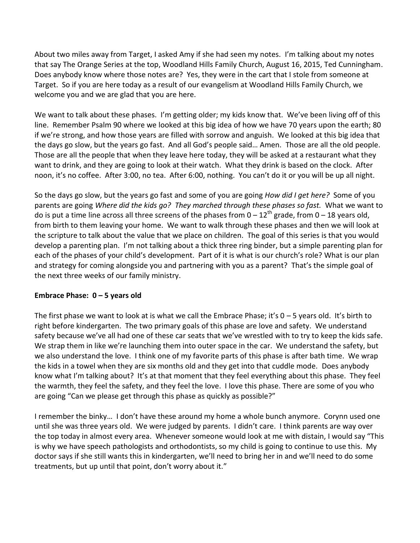About two miles away from Target, I asked Amy if she had seen my notes. I'm talking about my notes that say The Orange Series at the top, Woodland Hills Family Church, August 16, 2015, Ted Cunningham. Does anybody know where those notes are? Yes, they were in the cart that I stole from someone at Target. So if you are here today as a result of our evangelism at Woodland Hills Family Church, we welcome you and we are glad that you are here.

We want to talk about these phases. I'm getting older; my kids know that. We've been living off of this line. Remember Psalm 90 where we looked at this big idea of how we have 70 years upon the earth; 80 if we're strong, and how those years are filled with sorrow and anguish. We looked at this big idea that the days go slow, but the years go fast. And all God's people said… Amen. Those are all the old people. Those are all the people that when they leave here today, they will be asked at a restaurant what they want to drink, and they are going to look at their watch. What they drink is based on the clock. After noon, it's no coffee. After 3:00, no tea. After 6:00, nothing. You can't do it or you will be up all night.

So the days go slow, but the years go fast and some of you are going *How did I get here?* Some of you parents are going *Where did the kids go? They marched through these phases so fast.* What we want to do is put a time line across all three screens of the phases from  $0 - 12<sup>th</sup>$  grade, from  $0 - 18$  years old, from birth to them leaving your home. We want to walk through these phases and then we will look at the scripture to talk about the value that we place on children. The goal of this series is that you would develop a parenting plan. I'm not talking about a thick three ring binder, but a simple parenting plan for each of the phases of your child's development. Part of it is what is our church's role? What is our plan and strategy for coming alongside you and partnering with you as a parent? That's the simple goal of the next three weeks of our family ministry.

#### **Embrace Phase: 0 – 5 years old**

The first phase we want to look at is what we call the Embrace Phase; it's  $0 - 5$  years old. It's birth to right before kindergarten. The two primary goals of this phase are love and safety. We understand safety because we've all had one of these car seats that we've wrestled with to try to keep the kids safe. We strap them in like we're launching them into outer space in the car. We understand the safety, but we also understand the love. I think one of my favorite parts of this phase is after bath time. We wrap the kids in a towel when they are six months old and they get into that cuddle mode. Does anybody know what I'm talking about? It's at that moment that they feel everything about this phase. They feel the warmth, they feel the safety, and they feel the love. I love this phase. There are some of you who are going "Can we please get through this phase as quickly as possible?"

I remember the binky… I don't have these around my home a whole bunch anymore. Corynn used one until she was three years old. We were judged by parents. I didn't care. I think parents are way over the top today in almost every area. Whenever someone would look at me with distain, I would say "This is why we have speech pathologists and orthodontists, so my child is going to continue to use this. My doctor says if she still wants this in kindergarten, we'll need to bring her in and we'll need to do some treatments, but up until that point, don't worry about it."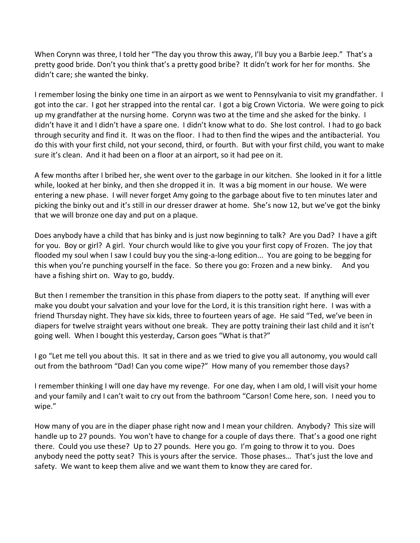When Corynn was three, I told her "The day you throw this away, I'll buy you a Barbie Jeep." That's a pretty good bride. Don't you think that's a pretty good bribe? It didn't work for her for months. She didn't care; she wanted the binky.

I remember losing the binky one time in an airport as we went to Pennsylvania to visit my grandfather. I got into the car. I got her strapped into the rental car. I got a big Crown Victoria. We were going to pick up my grandfather at the nursing home. Corynn was two at the time and she asked for the binky. I didn't have it and I didn't have a spare one. I didn't know what to do. She lost control. I had to go back through security and find it. It was on the floor. I had to then find the wipes and the antibacterial. You do this with your first child, not your second, third, or fourth. But with your first child, you want to make sure it's clean. And it had been on a floor at an airport, so it had pee on it.

A few months after I bribed her, she went over to the garbage in our kitchen. She looked in it for a little while, looked at her binky, and then she dropped it in. It was a big moment in our house. We were entering a new phase. I will never forget Amy going to the garbage about five to ten minutes later and picking the binky out and it's still in our dresser drawer at home. She's now 12, but we've got the binky that we will bronze one day and put on a plaque.

Does anybody have a child that has binky and is just now beginning to talk? Are you Dad? I have a gift for you. Boy or girl? A girl. Your church would like to give you your first copy of Frozen. The joy that flooded my soul when I saw I could buy you the sing-a-long edition... You are going to be begging for this when you're punching yourself in the face. So there you go: Frozen and a new binky. And you have a fishing shirt on. Way to go, buddy.

But then I remember the transition in this phase from diapers to the potty seat. If anything will ever make you doubt your salvation and your love for the Lord, it is this transition right here. I was with a friend Thursday night. They have six kids, three to fourteen years of age. He said "Ted, we've been in diapers for twelve straight years without one break. They are potty training their last child and it isn't going well. When I bought this yesterday, Carson goes "What is that?"

I go "Let me tell you about this. It sat in there and as we tried to give you all autonomy, you would call out from the bathroom "Dad! Can you come wipe?" How many of you remember those days?

I remember thinking I will one day have my revenge. For one day, when I am old, I will visit your home and your family and I can't wait to cry out from the bathroom "Carson! Come here, son. I need you to wipe."

How many of you are in the diaper phase right now and I mean your children. Anybody? This size will handle up to 27 pounds. You won't have to change for a couple of days there. That's a good one right there. Could you use these? Up to 27 pounds. Here you go. I'm going to throw it to you. Does anybody need the potty seat? This is yours after the service. Those phases… That's just the love and safety. We want to keep them alive and we want them to know they are cared for.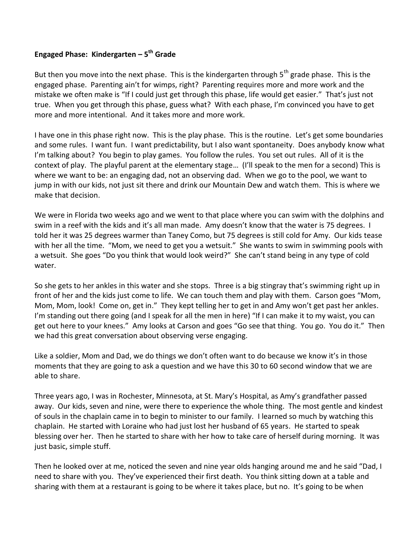# **Engaged Phase: Kindergarten – 5th Grade**

But then you move into the next phase. This is the kindergarten through  $5<sup>th</sup>$  grade phase. This is the engaged phase. Parenting ain't for wimps, right? Parenting requires more and more work and the mistake we often make is "If I could just get through this phase, life would get easier." That's just not true. When you get through this phase, guess what? With each phase, I'm convinced you have to get more and more intentional. And it takes more and more work.

I have one in this phase right now. This is the play phase. This is the routine. Let's get some boundaries and some rules. I want fun. I want predictability, but I also want spontaneity. Does anybody know what I'm talking about? You begin to play games. You follow the rules. You set out rules. All of it is the context of play. The playful parent at the elementary stage… (I'll speak to the men for a second) This is where we want to be: an engaging dad, not an observing dad. When we go to the pool, we want to jump in with our kids, not just sit there and drink our Mountain Dew and watch them. This is where we make that decision.

We were in Florida two weeks ago and we went to that place where you can swim with the dolphins and swim in a reef with the kids and it's all man made. Amy doesn't know that the water is 75 degrees. I told her it was 25 degrees warmer than Taney Como, but 75 degrees is still cold for Amy. Our kids tease with her all the time. "Mom, we need to get you a wetsuit." She wants to swim in swimming pools with a wetsuit. She goes "Do you think that would look weird?" She can't stand being in any type of cold water.

So she gets to her ankles in this water and she stops. Three is a big stingray that's swimming right up in front of her and the kids just come to life. We can touch them and play with them. Carson goes "Mom, Mom, Mom, look! Come on, get in." They kept telling her to get in and Amy won't get past her ankles. I'm standing out there going (and I speak for all the men in here) "If I can make it to my waist, you can get out here to your knees." Amy looks at Carson and goes "Go see that thing. You go. You do it." Then we had this great conversation about observing verse engaging.

Like a soldier, Mom and Dad, we do things we don't often want to do because we know it's in those moments that they are going to ask a question and we have this 30 to 60 second window that we are able to share.

Three years ago, I was in Rochester, Minnesota, at St. Mary's Hospital, as Amy's grandfather passed away. Our kids, seven and nine, were there to experience the whole thing. The most gentle and kindest of souls in the chaplain came in to begin to minister to our family. I learned so much by watching this chaplain. He started with Loraine who had just lost her husband of 65 years. He started to speak blessing over her. Then he started to share with her how to take care of herself during morning. It was just basic, simple stuff.

Then he looked over at me, noticed the seven and nine year olds hanging around me and he said "Dad, I need to share with you. They've experienced their first death. You think sitting down at a table and sharing with them at a restaurant is going to be where it takes place, but no. It's going to be when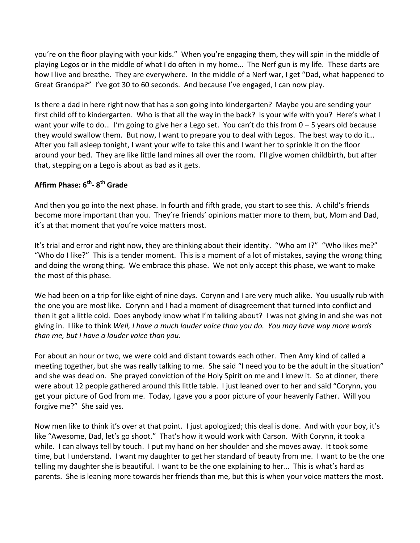you're on the floor playing with your kids." When you're engaging them, they will spin in the middle of playing Legos or in the middle of what I do often in my home… The Nerf gun is my life. These darts are how I live and breathe. They are everywhere. In the middle of a Nerf war, I get "Dad, what happened to Great Grandpa?" I've got 30 to 60 seconds. And because I've engaged, I can now play.

Is there a dad in here right now that has a son going into kindergarten? Maybe you are sending your first child off to kindergarten. Who is that all the way in the back? Is your wife with you? Here's what I want your wife to do… I'm going to give her a Lego set. You can't do this from 0 – 5 years old because they would swallow them. But now, I want to prepare you to deal with Legos. The best way to do it… After you fall asleep tonight, I want your wife to take this and I want her to sprinkle it on the floor around your bed. They are like little land mines all over the room. I'll give women childbirth, but after that, stepping on a Lego is about as bad as it gets.

# **Affirm Phase: 6th- 8th Grade**

And then you go into the next phase. In fourth and fifth grade, you start to see this. A child's friends become more important than you. They're friends' opinions matter more to them, but, Mom and Dad, it's at that moment that you're voice matters most.

It's trial and error and right now, they are thinking about their identity. "Who am I?" "Who likes me?" "Who do I like?" This is a tender moment. This is a moment of a lot of mistakes, saying the wrong thing and doing the wrong thing. We embrace this phase. We not only accept this phase, we want to make the most of this phase.

We had been on a trip for like eight of nine days. Corynn and I are very much alike. You usually rub with the one you are most like. Corynn and I had a moment of disagreement that turned into conflict and then it got a little cold. Does anybody know what I'm talking about? I was not giving in and she was not giving in. I like to think *Well, I have a much louder voice than you do. You may have way more words than me, but I have a louder voice than you.* 

For about an hour or two, we were cold and distant towards each other. Then Amy kind of called a meeting together, but she was really talking to me. She said "I need you to be the adult in the situation" and she was dead on. She prayed conviction of the Holy Spirit on me and I knew it. So at dinner, there were about 12 people gathered around this little table. I just leaned over to her and said "Corynn, you get your picture of God from me. Today, I gave you a poor picture of your heavenly Father. Will you forgive me?" She said yes.

Now men like to think it's over at that point. I just apologized; this deal is done. And with your boy, it's like "Awesome, Dad, let's go shoot." That's how it would work with Carson. With Corynn, it took a while. I can always tell by touch. I put my hand on her shoulder and she moves away. It took some time, but I understand. I want my daughter to get her standard of beauty from me. I want to be the one telling my daughter she is beautiful. I want to be the one explaining to her… This is what's hard as parents. She is leaning more towards her friends than me, but this is when your voice matters the most.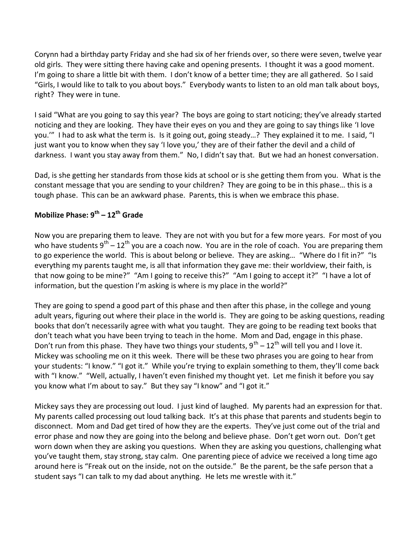Corynn had a birthday party Friday and she had six of her friends over, so there were seven, twelve year old girls. They were sitting there having cake and opening presents. I thought it was a good moment. I'm going to share a little bit with them. I don't know of a better time; they are all gathered. So I said "Girls, I would like to talk to you about boys." Everybody wants to listen to an old man talk about boys, right? They were in tune.

I said "What are you going to say this year? The boys are going to start noticing; they've already started noticing and they are looking. They have their eyes on you and they are going to say things like 'I love you.'" I had to ask what the term is. Is it going out, going steady…? They explained it to me. I said, "I just want you to know when they say 'I love you,' they are of their father the devil and a child of darkness. I want you stay away from them." No, I didn't say that. But we had an honest conversation.

Dad, is she getting her standards from those kids at school or is she getting them from you. What is the constant message that you are sending to your children? They are going to be in this phase… this is a tough phase. This can be an awkward phase. Parents, this is when we embrace this phase.

# **Mobilize Phase: 9th – 12th Grade**

Now you are preparing them to leave. They are not with you but for a few more years. For most of you who have students  $9^{th} - 12^{th}$  you are a coach now. You are in the role of coach. You are preparing them to go experience the world. This is about belong or believe. They are asking... "Where do I fit in?" "Is everything my parents taught me, is all that information they gave me: their worldview, their faith, is that now going to be mine?" "Am I going to receive this?" "Am I going to accept it?" "I have a lot of information, but the question I'm asking is where is my place in the world?"

They are going to spend a good part of this phase and then after this phase, in the college and young adult years, figuring out where their place in the world is. They are going to be asking questions, reading books that don't necessarily agree with what you taught. They are going to be reading text books that don't teach what you have been trying to teach in the home. Mom and Dad, engage in this phase. Don't run from this phase. They have two things your students,  $9^{th} - 12^{th}$  will tell you and I love it. Mickey was schooling me on it this week. There will be these two phrases you are going to hear from your students: "I know." "I got it." While you're trying to explain something to them, they'll come back with "I know." "Well, actually, I haven't even finished my thought yet. Let me finish it before you say you know what I'm about to say." But they say "I know" and "I got it."

Mickey says they are processing out loud. I just kind of laughed. My parents had an expression for that. My parents called processing out loud talking back. It's at this phase that parents and students begin to disconnect. Mom and Dad get tired of how they are the experts. They've just come out of the trial and error phase and now they are going into the belong and believe phase. Don't get worn out. Don't get worn down when they are asking you questions. When they are asking you questions, challenging what you've taught them, stay strong, stay calm. One parenting piece of advice we received a long time ago around here is "Freak out on the inside, not on the outside." Be the parent, be the safe person that a student says "I can talk to my dad about anything. He lets me wrestle with it."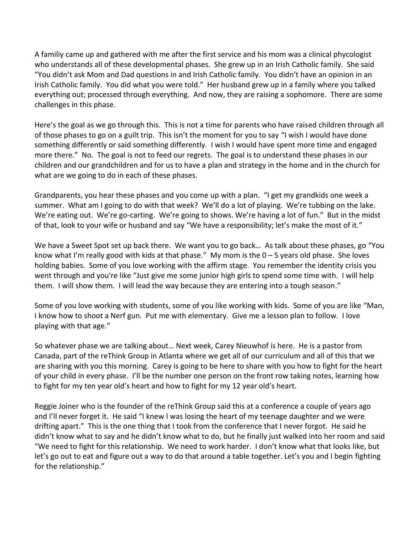A familiy came up and gathered with me after the first service and his mom was a clinical phycologist who understands all of these developmental phases. She grew up in an Irish Catholic family. She said "You didn't ask Mom and Dad questions in and Irish Catholic family. You didn't have an opinion in an Irish Catholic family. You did what you were told." Her husband grew up in a family where you talked everything out; processed through everything. And now, they are raising a sophomore. There are some challenges in this phase.

Here's the goal as we go through this. This is not a time for parents who have raised children through all of those phases to go on a guilt trip. This isn't the moment for you to say "I wish I would have done something differently or said something differently. I wish I would have spent more time and engaged more there." No. The goal is not to feed our regrets. The goal is to understand these phases in our children and our grandchildren and for us to have a plan and strategy in the home and in the church for what are we going to do in each of these phases.

Grandparents, you hear these phases and you come up with a plan. "I get my grandkids one week a summer. What am I going to do with that week? We'll do a lot of playing. We're tubbing on the lake. We're eating out. We're go-carting. We're going to shows. We're having a lot of fun." But in the midst of that, look to your wife or husband and say "We have a responsibility; let's make the most of it."

We have a Sweet Spot set up back there. We want you to go back… As talk about these phases, go "You know what I'm really good with kids at that phase." My mom is the 0 – 5 years old phase. She loves holding babies. Some of you love working with the affirm stage. You remember the identity crisis you went through and you're like "Just give me some junior high girls to spend some time with. I will help them. I will show them. I will lead the way because they are entering into a tough season."

Some of you love working with students, some of you like working with kids. Some of you are like "Man, I know how to shoot a Nerf gun. Put me with elementary. Give me a lesson plan to follow. I love playing with that age."

So whatever phase we are talking about… Next week, Carey Nieuwhof is here. He is a pastor from Canada, part of the reThink Group in Atlanta where we get all of our curriculum and all of this that we are sharing with you this morning. Carey is going to be here to share with you how to fight for the heart of your child in every phase. I'll be the number one person on the front row taking notes, learning how to fight for my ten year old's heart and how to fight for my 12 year old's heart.

Reggie Joiner who is the founder of the reThink Group said this at a conference a couple of years ago and I'll never forget it. He said "I knew I was losing the heart of my teenage daughter and we were drifting apart." This is the one thing that I took from the conference that I never forgot. He said he didn't know what to say and he didn't know what to do, but he finally just walked into her room and said "We need to fight for this relationship. We need to work harder. I don't know what that looks like, but let's go out to eat and figure out a way to do that around a table together. Let's you and I begin fighting for the relationship."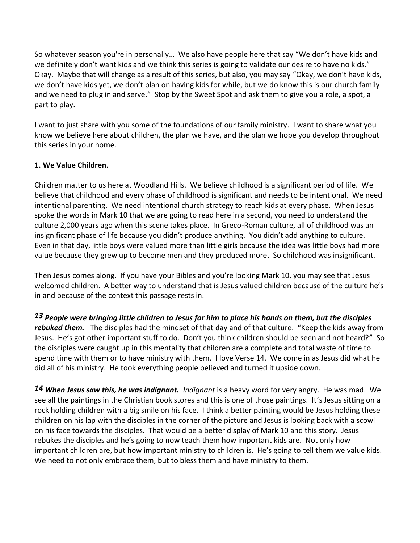So whatever season you're in personally… We also have people here that say "We don't have kids and we definitely don't want kids and we think this series is going to validate our desire to have no kids." Okay. Maybe that will change as a result of this series, but also, you may say "Okay, we don't have kids, we don't have kids yet, we don't plan on having kids for while, but we do know this is our church family and we need to plug in and serve." Stop by the Sweet Spot and ask them to give you a role, a spot, a part to play.

I want to just share with you some of the foundations of our family ministry. I want to share what you know we believe here about children, the plan we have, and the plan we hope you develop throughout this series in your home.

# **1. We Value Children.**

Children matter to us here at Woodland Hills. We believe childhood is a significant period of life. We believe that childhood and every phase of childhood is significant and needs to be intentional. We need intentional parenting. We need intentional church strategy to reach kids at every phase. When Jesus spoke the words in Mark 10 that we are going to read here in a second, you need to understand the culture 2,000 years ago when this scene takes place. In Greco-Roman culture, all of childhood was an insignificant phase of life because you didn't produce anything. You didn't add anything to culture. Even in that day, little boys were valued more than little girls because the idea was little boys had more value because they grew up to become men and they produced more. So childhood was insignificant.

Then Jesus comes along. If you have your Bibles and you're looking Mark 10, you may see that Jesus welcomed children. A better way to understand that is Jesus valued children because of the culture he's in and because of the context this passage rests in.

*[13](http://www.studylight.org/desk/?q=mr%2010:13&t1=en_niv&sr=1) People were bringing little children to Jesus for him to place his hands on them, but the disciples rebuked them.* The disciples had the mindset of that day and of that culture. "Keep the kids away from Jesus. He's got other important stuff to do. Don't you think children should be seen and not heard?" So the disciples were caught up in this mentality that children are a complete and total waste of time to spend time with them or to have ministry with them. I love Verse 14. We come in as Jesus did what he did all of his ministry. He took everything people believed and turned it upside down.

*[14](http://www.studylight.org/desk/?q=mr%2010:14&t1=en_niv&sr=1) When Jesus saw this, he was indignant. Indignant* is a heavy word for very angry. He was mad. We see all the paintings in the Christian book stores and this is one of those paintings. It's Jesus sitting on a rock holding children with a big smile on his face. I think a better painting would be Jesus holding these children on his lap with the disciples in the corner of the picture and Jesus is looking back with a scowl on his face towards the disciples. That would be a better display of Mark 10 and this story. Jesus rebukes the disciples and he's going to now teach them how important kids are. Not only how important children are, but how important ministry to children is. He's going to tell them we value kids. We need to not only embrace them, but to bless them and have ministry to them.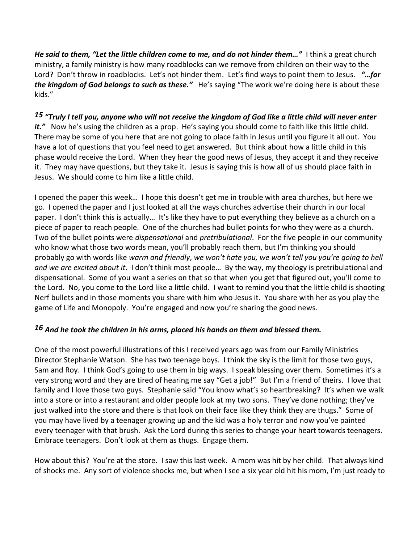*He said to them, "Let the little children come to me, and do not hinder them…"* I think a great church ministry, a family ministry is how many roadblocks can we remove from children on their way to the Lord? Don't throw in roadblocks. Let's not hinder them. Let's find ways to point them to Jesus. *"…for the kingdom of God belongs to such as these."* He's saying "The work we're doing here is about these kids."

# *[15](http://www.studylight.org/desk/?q=mr%2010:15&t1=en_niv&sr=1) "Truly I tell you, anyone who will not receive the kingdom of God like a little child will never enter*

it." Now he's using the children as a prop. He's saying you should come to faith like this little child. There may be some of you here that are not going to place faith in Jesus until you figure it all out. You have a lot of questions that you feel need to get answered. But think about how a little child in this phase would receive the Lord. When they hear the good news of Jesus, they accept it and they receive it. They may have questions, but they take it. Jesus is saying this is how all of us should place faith in Jesus. We should come to him like a little child.

I opened the paper this week… I hope this doesn't get me in trouble with area churches, but here we go. I opened the paper and I just looked at all the ways churches advertise their church in our local paper. I don't think this is actually… It's like they have to put everything they believe as a church on a piece of paper to reach people. One of the churches had bullet points for who they were as a church. Two of the bullet points were *dispensational* and *pretribulational*. For the five people in our community who know what those two words mean, you'll probably reach them, but I'm thinking you should probably go with words like *warm and friendly*, *we won't hate you, we won't tell you you're going to hell and we are excited about it*. I don't think most people… By the way, my theology is pretribulational and dispensational. Some of you want a series on that so that when you get that figured out, you'll come to the Lord. No, you come to the Lord like a little child. I want to remind you that the little child is shooting Nerf bullets and in those moments you share with him who Jesus it. You share with her as you play the game of Life and Monopoly. You're engaged and now you're sharing the good news.

#### *[16](http://www.studylight.org/desk/?q=mr%2010:16&t1=en_niv&sr=1) And he took the children in his arms, placed his hands on them and blessed them.*

One of the most powerful illustrations of this I received years ago was from our Family Ministries Director Stephanie Watson. She has two teenage boys. I think the sky is the limit for those two guys, Sam and Roy. I think God's going to use them in big ways. I speak blessing over them. Sometimes it's a very strong word and they are tired of hearing me say "Get a job!" But I'm a friend of theirs. I love that family and I love those two guys. Stephanie said "You know what's so heartbreaking? It's when we walk into a store or into a restaurant and older people look at my two sons. They've done nothing; they've just walked into the store and there is that look on their face like they think they are thugs." Some of you may have lived by a teenager growing up and the kid was a holy terror and now you've painted every teenager with that brush. Ask the Lord during this series to change your heart towards teenagers. Embrace teenagers. Don't look at them as thugs. Engage them.

How about this? You're at the store. I saw this last week. A mom was hit by her child. That always kind of shocks me. Any sort of violence shocks me, but when I see a six year old hit his mom, I'm just ready to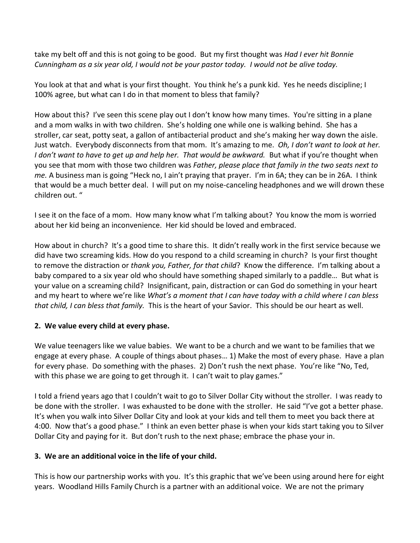take my belt off and this is not going to be good. But my first thought was *Had I ever hit Bonnie Cunningham as a six year old, I would not be your pastor today. I would not be alive today.* 

You look at that and what is your first thought. You think he's a punk kid. Yes he needs discipline; I 100% agree, but what can I do in that moment to bless that family?

How about this? I've seen this scene play out I don't know how many times. You're sitting in a plane and a mom walks in with two children. She's holding one while one is walking behind. She has a stroller, car seat, potty seat, a gallon of antibacterial product and she's making her way down the aisle. Just watch. Everybody disconnects from that mom. It's amazing to me. *Oh, I don't want to look at her. I don't want to have to get up and help her. That would be awkward.* But what if you're thought when you see that mom with those two children was *Father, please place that family in the two seats next to me.* A business man is going "Heck no, I ain't praying that prayer. I'm in 6A; they can be in 26A. I think that would be a much better deal. I will put on my noise-canceling headphones and we will drown these children out. "

I see it on the face of a mom. How many know what I'm talking about? You know the mom is worried about her kid being an inconvenience. Her kid should be loved and embraced.

How about in church? It's a good time to share this. It didn't really work in the first service because we did have two screaming kids. How do you respond to a child screaming in church? Is your first thought to remove the distraction or *thank you, Father, for that child*? Know the difference. I'm talking about a baby compared to a six year old who should have something shaped similarly to a paddle… But what is your value on a screaming child? Insignificant, pain, distraction or can God do something in your heart and my heart to where we're like *What's a moment that I can have today with a child where I can bless that child, I can bless that family.* This is the heart of your Savior. This should be our heart as well.

#### **2. We value every child at every phase.**

We value teenagers like we value babies. We want to be a church and we want to be families that we engage at every phase. A couple of things about phases… 1) Make the most of every phase. Have a plan for every phase. Do something with the phases. 2) Don't rush the next phase. You're like "No, Ted, with this phase we are going to get through it. I can't wait to play games."

I told a friend years ago that I couldn't wait to go to Silver Dollar City without the stroller. I was ready to be done with the stroller. I was exhausted to be done with the stroller. He said "I've got a better phase. It's when you walk into Silver Dollar City and look at your kids and tell them to meet you back there at 4:00. Now that's a good phase." I think an even better phase is when your kids start taking you to Silver Dollar City and paying for it. But don't rush to the next phase; embrace the phase your in.

#### **3. We are an additional voice in the life of your child.**

This is how our partnership works with you. It's this graphic that we've been using around here for eight years. Woodland Hills Family Church is a partner with an additional voice. We are not the primary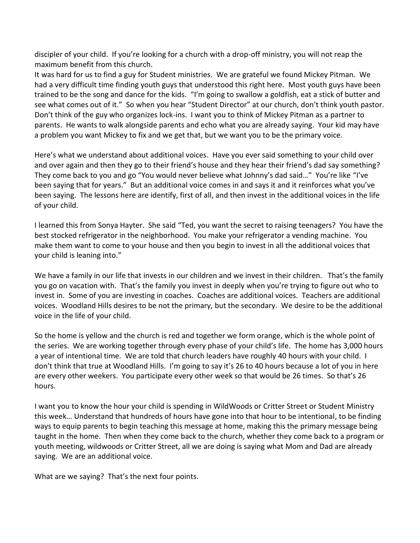discipler of your child. If you're looking for a church with a drop-off ministry, you will not reap the maximum benefit from this church.

It was hard for us to find a guy for Student ministries. We are grateful we found Mickey Pitman. We had a very difficult time finding youth guys that understood this right here. Most youth guys have been trained to be the song and dance for the kids. "I'm going to swallow a goldfish, eat a stick of butter and see what comes out of it." So when you hear "Student Director" at our church, don't think youth pastor. Don't think of the guy who organizes lock-ins. I want you to think of Mickey Pitman as a partner to parents. He wants to walk alongside parents and echo what you are already saying. Your kid may have a problem you want Mickey to fix and we get that, but we want you to be the primary voice.

Here's what we understand about additional voices. Have you ever said something to your child over and over again and then they go to their friend's house and they hear their friend's dad say something? They come back to you and go "You would never believe what Johnny's dad said…" You're like "I've been saying that for years." But an additional voice comes in and says it and it reinforces what you've been saying. The lessons here are identify, first of all, and then invest in the additional voices in the life of your child.

I learned this from Sonya Hayter. She said "Ted, you want the secret to raising teenagers? You have the best stocked refrigerator in the neighborhood. You make your refrigerator a vending machine. You make them want to come to your house and then you begin to invest in all the additional voices that your child is leaning into."

We have a family in our life that invests in our children and we invest in their children. That's the family you go on vacation with. That's the family you invest in deeply when you're trying to figure out who to invest in. Some of you are investing in coaches. Coaches are additional voices. Teachers are additional voices. Woodland Hills desires to be not the primary, but the secondary. We desire to be the additional voice in the life of your child.

So the home is yellow and the church is red and together we form orange, which is the whole point of the series. We are working together through every phase of your child's life. The home has 3,000 hours a year of intentional time. We are told that church leaders have roughly 40 hours with your child. I don't think that true at Woodland Hills. I'm going to say it's 26 to 40 hours because a lot of you in here are every other weekers. You participate every other week so that would be 26 times. So that's 26 hours.

I want you to know the hour your child is spending in WildWoods or Critter Street or Student Ministry this week… Understand that hundreds of hours have gone into that hour to be intentional, to be finding ways to equip parents to begin teaching this message at home, making this the primary message being taught in the home. Then when they come back to the church, whether they come back to a program or youth meeting, wildwoods or Critter Street, all we are doing is saying what Mom and Dad are already saying. We are an additional voice.

What are we saying? That's the next four points.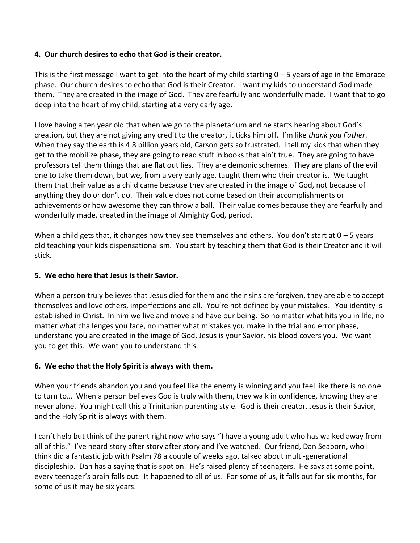#### **4. Our church desires to echo that God is their creator.**

This is the first message I want to get into the heart of my child starting  $0 - 5$  years of age in the Embrace phase. Our church desires to echo that God is their Creator. I want my kids to understand God made them. They are created in the image of God. They are fearfully and wonderfully made. I want that to go deep into the heart of my child, starting at a very early age.

I love having a ten year old that when we go to the planetarium and he starts hearing about God's creation, but they are not giving any credit to the creator, it ticks him off. I'm like *thank you Father*. When they say the earth is 4.8 billion years old, Carson gets so frustrated. I tell my kids that when they get to the mobilize phase, they are going to read stuff in books that ain't true. They are going to have professors tell them things that are flat out lies. They are demonic schemes. They are plans of the evil one to take them down, but we, from a very early age, taught them who their creator is. We taught them that their value as a child came because they are created in the image of God, not because of anything they do or don't do. Their value does not come based on their accomplishments or achievements or how awesome they can throw a ball. Their value comes because they are fearfully and wonderfully made, created in the image of Almighty God, period.

When a child gets that, it changes how they see themselves and others. You don't start at  $0 - 5$  years old teaching your kids dispensationalism. You start by teaching them that God is their Creator and it will stick.

#### **5. We echo here that Jesus is their Savior.**

When a person truly believes that Jesus died for them and their sins are forgiven, they are able to accept themselves and love others, imperfections and all. You're not defined by your mistakes. You identity is established in Christ. In him we live and move and have our being. So no matter what hits you in life, no matter what challenges you face, no matter what mistakes you make in the trial and error phase, understand you are created in the image of God, Jesus is your Savior, his blood covers you. We want you to get this. We want you to understand this.

#### **6. We echo that the Holy Spirit is always with them.**

When your friends abandon you and you feel like the enemy is winning and you feel like there is no one to turn to… When a person believes God is truly with them, they walk in confidence, knowing they are never alone. You might call this a Trinitarian parenting style. God is their creator, Jesus is their Savior, and the Holy Spirit is always with them.

I can't help but think of the parent right now who says "I have a young adult who has walked away from all of this." I've heard story after story after story and I've watched. Our friend, Dan Seaborn, who I think did a fantastic job with Psalm 78 a couple of weeks ago, talked about multi-generational discipleship. Dan has a saying that is spot on. He's raised plenty of teenagers. He says at some point, every teenager's brain falls out. It happened to all of us. For some of us, it falls out for six months, for some of us it may be six years.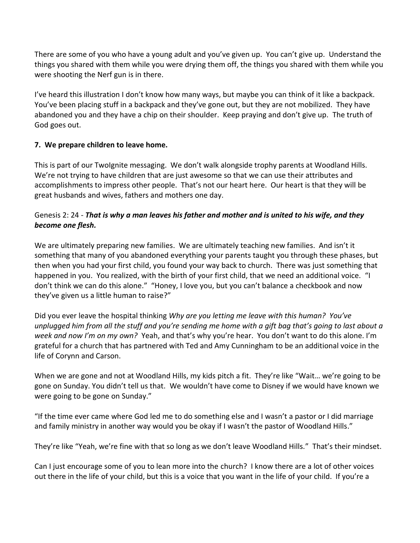There are some of you who have a young adult and you've given up. You can't give up. Understand the things you shared with them while you were drying them off, the things you shared with them while you were shooting the Nerf gun is in there.

I've heard this illustration I don't know how many ways, but maybe you can think of it like a backpack. You've been placing stuff in a backpack and they've gone out, but they are not mobilized. They have abandoned you and they have a chip on their shoulder. Keep praying and don't give up. The truth of God goes out.

# **7. We prepare children to leave home.**

This is part of our TwoIgnite messaging. We don't walk alongside trophy parents at Woodland Hills. We're not trying to have children that are just awesome so that we can use their attributes and accomplishments to impress other people. That's not our heart here. Our heart is that they will be great husbands and wives, fathers and mothers one day.

# Genesis 2: 24 - *That is why a man leaves his father and mother and is united to his wife, and they become one flesh.*

We are ultimately preparing new families. We are ultimately teaching new families. And isn't it something that many of you abandoned everything your parents taught you through these phases, but then when you had your first child, you found your way back to church. There was just something that happened in you. You realized, with the birth of your first child, that we need an additional voice. "I don't think we can do this alone." "Honey, I love you, but you can't balance a checkbook and now they've given us a little human to raise?"

Did you ever leave the hospital thinking *Why are you letting me leave with this human? You've unplugged him from all the stuff and you're sending me home with a gift bag that's going to last about a week and now I'm on my own?* Yeah, and that's why you're hear. You don't want to do this alone. I'm grateful for a church that has partnered with Ted and Amy Cunningham to be an additional voice in the life of Corynn and Carson.

When we are gone and not at Woodland Hills, my kids pitch a fit. They're like "Wait… we're going to be gone on Sunday. You didn't tell us that. We wouldn't have come to Disney if we would have known we were going to be gone on Sunday."

"If the time ever came where God led me to do something else and I wasn't a pastor or I did marriage and family ministry in another way would you be okay if I wasn't the pastor of Woodland Hills."

They're like "Yeah, we're fine with that so long as we don't leave Woodland Hills." That's their mindset.

Can I just encourage some of you to lean more into the church? I know there are a lot of other voices out there in the life of your child, but this is a voice that you want in the life of your child. If you're a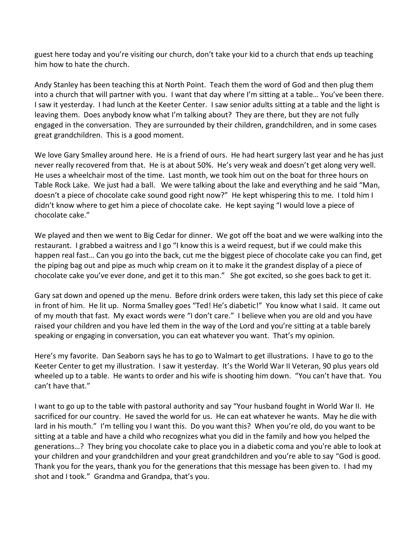guest here today and you're visiting our church, don't take your kid to a church that ends up teaching him how to hate the church.

Andy Stanley has been teaching this at North Point. Teach them the word of God and then plug them into a church that will partner with you. I want that day where I'm sitting at a table… You've been there. I saw it yesterday. I had lunch at the Keeter Center. I saw senior adults sitting at a table and the light is leaving them. Does anybody know what I'm talking about? They are there, but they are not fully engaged in the conversation. They are surrounded by their children, grandchildren, and in some cases great grandchildren. This is a good moment.

We love Gary Smalley around here. He is a friend of ours. He had heart surgery last year and he has just never really recovered from that. He is at about 50%. He's very weak and doesn't get along very well. He uses a wheelchair most of the time. Last month, we took him out on the boat for three hours on Table Rock Lake. We just had a ball. We were talking about the lake and everything and he said "Man, doesn't a piece of chocolate cake sound good right now?" He kept whispering this to me. I told him I didn't know where to get him a piece of chocolate cake. He kept saying "I would love a piece of chocolate cake."

We played and then we went to Big Cedar for dinner. We got off the boat and we were walking into the restaurant. I grabbed a waitress and I go "I know this is a weird request, but if we could make this happen real fast… Can you go into the back, cut me the biggest piece of chocolate cake you can find, get the piping bag out and pipe as much whip cream on it to make it the grandest display of a piece of chocolate cake you've ever done, and get it to this man." She got excited, so she goes back to get it.

Gary sat down and opened up the menu. Before drink orders were taken, this lady set this piece of cake in front of him. He lit up. Norma Smalley goes "Ted! He's diabetic!" You know what I said. It came out of my mouth that fast. My exact words were "I don't care." I believe when you are old and you have raised your children and you have led them in the way of the Lord and you're sitting at a table barely speaking or engaging in conversation, you can eat whatever you want. That's my opinion.

Here's my favorite. Dan Seaborn says he has to go to Walmart to get illustrations. I have to go to the Keeter Center to get my illustration. I saw it yesterday. It's the World War II Veteran, 90 plus years old wheeled up to a table. He wants to order and his wife is shooting him down. "You can't have that. You can't have that."

I want to go up to the table with pastoral authority and say "Your husband fought in World War II. He sacrificed for our country. He saved the world for us. He can eat whatever he wants. May he die with lard in his mouth." I'm telling you I want this. Do you want this? When you're old, do you want to be sitting at a table and have a child who recognizes what you did in the family and how you helped the generations…? They bring you chocolate cake to place you in a diabetic coma and you're able to look at your children and your grandchildren and your great grandchildren and you're able to say "God is good. Thank you for the years, thank you for the generations that this message has been given to. I had my shot and I took." Grandma and Grandpa, that's you.